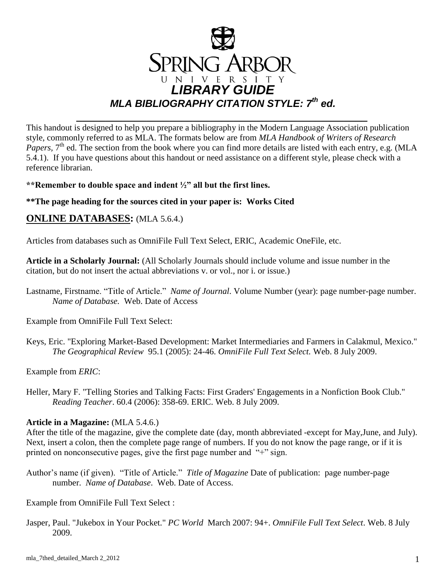

This handout is designed to help you prepare a bibliography in the Modern Language Association publication style, commonly referred to as MLA. The formats below are from *MLA Handbook of Writers of Research*  Papers, 7<sup>th</sup> ed. The section from the book where you can find more details are listed with each entry, e.g. (MLA 5.4.1). If you have questions about this handout or need assistance on a different style, please check with a reference librarian.

**\*\*Remember to double space and indent ½" all but the first lines.** 

#### **\*\*The page heading for the sources cited in your paper is: Works Cited**

### **ONLINE DATABASES:** (MLA 5.6.4.)

Articles from databases such as OmniFile Full Text Select, ERIC, Academic OneFile, etc.

**Article in a Scholarly Journal:** (All Scholarly Journals should include volume and issue number in the citation, but do not insert the actual abbreviations v. or vol., nor i. or issue.)

Lastname, Firstname. "Title of Article." *Name of Journal*. Volume Number (year): page number-page number. *Name of Database.* Web. Date of Access

Example from OmniFile Full Text Select:

Keys, Eric. "Exploring Market-Based Development: Market Intermediaries and Farmers in Calakmul, Mexico." *The Geographical Review* 95.1 (2005): 24-46. *OmniFile Full Text Select.* Web. 8 July 2009.

Example from *ERIC*:

Heller, Mary F. "Telling Stories and Talking Facts: First Graders' Engagements in a Nonfiction Book Club." *Reading Teacher*. 60.4 (2006): 358-69. ERIC. Web. 8 July 2009.

#### **Article in a Magazine:** (MLA 5.4.6.)

After the title of the magazine, give the complete date (day, month abbreviated -except for May,June, and July). Next, insert a colon, then the complete page range of numbers. If you do not know the page range, or if it is printed on nonconsecutive pages, give the first page number and "+" sign.

Author's name (if given). "Title of Article." *Title of Magazine* Date of publication: page number-page number. *Name of Database*. Web. Date of Access.

Example from OmniFile Full Text Select :

Jasper, Paul. "Jukebox in Your Pocket." *PC World* March 2007: 94+. *OmniFile Full Text Select*. Web. 8 July 2009.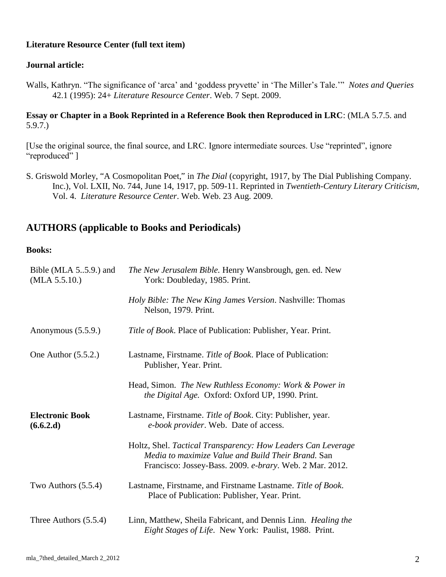#### **Literature Resource Center (full text item)**

#### **Journal article:**

Walls, Kathryn. "The significance of 'arca' and 'goddess pryvette' in 'The Miller's Tale.'" *Notes and Queries* 42.1 (1995): 24+ *Literature Resource Center*. Web. 7 Sept. 2009.

#### **Essay or Chapter in a Book Reprinted in a Reference Book then Reproduced in LRC**: (MLA 5.7.5. and 5.9.7.)

[Use the original source, the final source, and LRC. Ignore intermediate sources. Use "reprinted", ignore "reproduced" ]

S. Griswold Morley, "A Cosmopolitan Poet," in *The Dial* (copyright, 1917, by The Dial Publishing Company. Inc.), Vol. LXII, No. 744, June 14, 1917, pp. 509-11. Reprinted in *Twentieth-Century Literary Criticism*, Vol. 4. *Literature Resource Center*. Web. Web. 23 Aug. 2009.

### **AUTHORS (applicable to Books and Periodicals)**

#### **Books:**

| Bible (MLA 55.9.) and<br>(MLA 5.5.10.) | The New Jerusalem Bible. Henry Wansbrough, gen. ed. New<br>York: Doubleday, 1985. Print.                                                                                       |
|----------------------------------------|--------------------------------------------------------------------------------------------------------------------------------------------------------------------------------|
|                                        | Holy Bible: The New King James Version. Nashville: Thomas<br>Nelson, 1979. Print.                                                                                              |
| Anonymous $(5.5.9.)$                   | Title of Book. Place of Publication: Publisher, Year. Print.                                                                                                                   |
| One Author $(5.5.2.)$                  | Lastname, Firstname. Title of Book. Place of Publication:<br>Publisher, Year. Print.                                                                                           |
|                                        | Head, Simon. The New Ruthless Economy: Work & Power in<br>the Digital Age. Oxford: Oxford UP, 1990. Print.                                                                     |
| <b>Electronic Book</b><br>(6.6.2.d)    | Lastname, Firstname. Title of Book. City: Publisher, year.<br>e-book provider. Web. Date of access.                                                                            |
|                                        | Holtz, Shel. Tactical Transparency: How Leaders Can Leverage<br>Media to maximize Value and Build Their Brand. San<br>Francisco: Jossey-Bass. 2009. e-brary. Web. 2 Mar. 2012. |
| Two Authors $(5.5.4)$                  | Lastname, Firstname, and Firstname Lastname. Title of Book.<br>Place of Publication: Publisher, Year. Print.                                                                   |
| Three Authors $(5.5.4)$                | Linn, Matthew, Sheila Fabricant, and Dennis Linn. Healing the<br>Eight Stages of Life. New York: Paulist, 1988. Print.                                                         |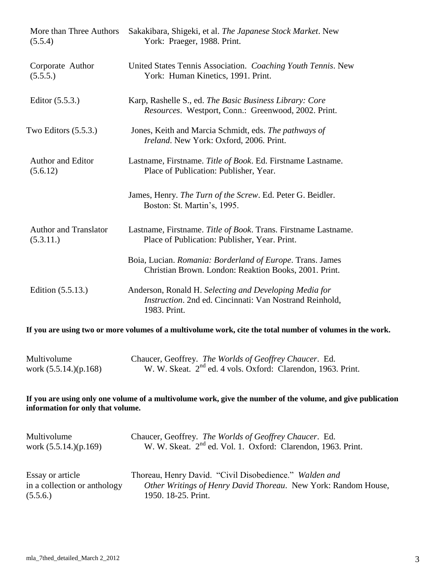| More than Three Authors           | Sakakibara, Shigeki, et al. The Japanese Stock Market. New                                                                        |
|-----------------------------------|-----------------------------------------------------------------------------------------------------------------------------------|
| (5.5.4)                           | York: Praeger, 1988. Print.                                                                                                       |
| Corporate Author                  | United States Tennis Association. Coaching Youth Tennis. New                                                                      |
| (5.5.5.)                          | York: Human Kinetics, 1991. Print.                                                                                                |
| Editor $(5.5.3.)$                 | Karp, Rashelle S., ed. The Basic Business Library: Core<br>Resources. Westport, Conn.: Greenwood, 2002. Print.                    |
| Two Editors $(5.5.3.)$            | Jones, Keith and Marcia Schmidt, eds. The pathways of<br>Ireland. New York: Oxford, 2006. Print.                                  |
| Author and Editor                 | Lastname, Firstname. Title of Book. Ed. Firstname Lastname.                                                                       |
| (5.6.12)                          | Place of Publication: Publisher, Year.                                                                                            |
|                                   | James, Henry. The Turn of the Screw. Ed. Peter G. Beidler.<br>Boston: St. Martin's, 1995.                                         |
| <b>Author and Translator</b>      | Lastname, Firstname. Title of Book. Trans. Firstname Lastname.                                                                    |
| (5.3.11.)                         | Place of Publication: Publisher, Year. Print.                                                                                     |
|                                   | Boia, Lucian. Romania: Borderland of Europe. Trans. James<br>Christian Brown. London: Reaktion Books, 2001. Print.                |
| Edition (5.5.13.)                 | Anderson, Ronald H. Selecting and Developing Media for<br>Instruction. 2nd ed. Cincinnati: Van Nostrand Reinhold,<br>1983. Print. |
|                                   | If you are using two or more volumes of a multivolume work, cite the total number of volumes in the work.                         |
| Multivolume                       | Chaucer, Geoffrey. The Worlds of Geoffrey Chaucer. Ed.                                                                            |
| work $(5.5.14.)(p.168)$           | W. W. Skeat. 2 <sup>nd</sup> ed. 4 vols. Oxford: Clarendon, 1963. Print.                                                          |
| information for only that volume. | If you are using only one volume of a multivolume work, give the number of the volume, and give publication                       |
| Multivolume                       | Chaucer, Geoffrey. The Worlds of Geoffrey Chaucer. Ed.                                                                            |
| work (5.5.14.)(p.169)             | W. W. Skeat. 2 <sup>nd</sup> ed. Vol. 1. Oxford: Clarendon, 1963. Print.                                                          |
| Essay or article                  | Thoreau, Henry David. "Civil Disobedience." Walden and                                                                            |
| in a collection or anthology      | Other Writings of Henry David Thoreau. New York: Random House,                                                                    |
| (5.5.6.)                          | 1950. 18-25. Print.                                                                                                               |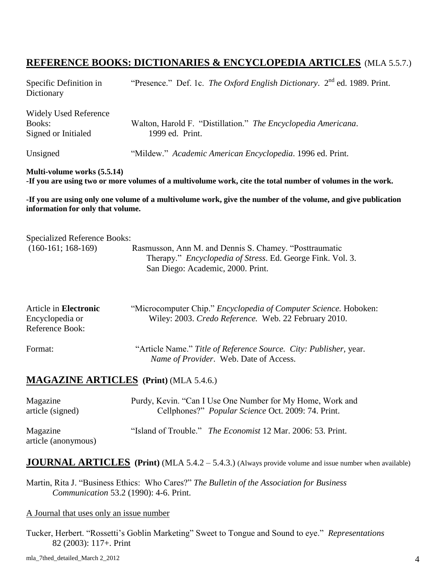## **REFERENCE BOOKS: DICTIONARIES & ENCYCLOPEDIA ARTICLES** (MLA 5.5.7.)

| Specific Definition in<br>Dictionary                                 | "Presence." Def. 1c. The Oxford English Dictionary. $2^{nd}$ ed. 1989. Print.                                                                             |
|----------------------------------------------------------------------|-----------------------------------------------------------------------------------------------------------------------------------------------------------|
| <b>Widely Used Reference</b><br><b>Books:</b><br>Signed or Initialed | Walton, Harold F. "Distillation." The Encyclopedia Americana.<br>1999 ed. Print.                                                                          |
| Unsigned                                                             | "Mildew." Academic American Encyclopedia. 1996 ed. Print.                                                                                                 |
| Multi-volume works (5.5.14)                                          | -If you are using two or more volumes of a multivolume work, cite the total number of volumes in the work.                                                |
| information for only that volume.                                    | -If you are using only one volume of a multivolume work, give the number of the volume, and give publication                                              |
| <b>Specialized Reference Books:</b>                                  |                                                                                                                                                           |
| $(160-161; 168-169)$                                                 | Rasmusson, Ann M. and Dennis S. Chamey. "Posttraumatic<br>Therapy." Encyclopedia of Stress. Ed. George Fink. Vol. 3.<br>San Diego: Academic, 2000. Print. |
| Article in Electronic<br>Encyclopedia or<br>Reference Book:          | "Microcomputer Chip." Encyclopedia of Computer Science. Hoboken:<br>Wiley: 2003. Credo Reference. Web. 22 February 2010.                                  |
| Format:                                                              | "Article Name." Title of Reference Source. City: Publisher, year.<br>Name of Provider. Web. Date of Access.                                               |
|                                                                      | <b>MAGAZINE ARTICLES</b> (Print) (MLA 5.4.6.)                                                                                                             |
| Magazine<br>article (signed)                                         | Purdy, Kevin. "Can I Use One Number for My Home, Work and<br>Cellphones?" Popular Science Oct. 2009: 74. Print.                                           |
| Magazine<br>article (anonymous)                                      | "Island of Trouble." The Economist 12 Mar. 2006: 53. Print.                                                                                               |
|                                                                      | <b>JOURNAL ARTICLES</b> (Print) (MLA 5.4.2 – 5.4.3.) (Always provide volume and issue number when available)                                              |
|                                                                      | Martin, Rita J. "Business Ethics: Who Cares?" The Bulletin of the Association for Business<br>Communication 53.2 (1990): 4-6. Print.                      |

#### A Journal that uses only an issue number

Tucker, Herbert. "Rossetti's Goblin Marketing" Sweet to Tongue and Sound to eye." *Representations* 82 (2003): 117+. Print